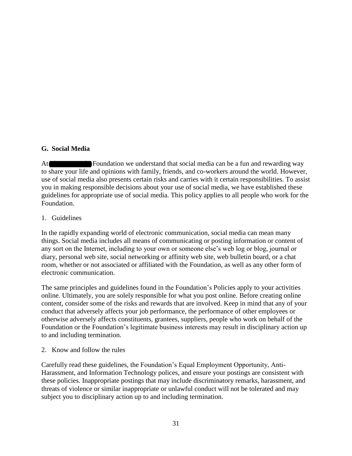## **G. Social Media**

At **The McKnight Foundation we understand that social media can be a fun and rewarding way** to share your life and opinions with family, friends, and co-workers around the world. However, use of social media also presents certain risks and carries with it certain responsibilities. To assist you in making responsible decisions about your use of social media, we have established these guidelines for appropriate use of social media. This policy applies to all people who work for the Foundation.

## 1. Guidelines

In the rapidly expanding world of electronic communication, social media can mean many things. Social media includes all means of communicating or posting information or content of any sort on the Internet, including to your own or someone else's web log or blog, journal or diary, personal web site, social networking or affinity web site, web bulletin board, or a chat room, whether or not associated or affiliated with the Foundation, as well as any other form of electronic communication.

The same principles and guidelines found in the Foundation's Policies apply to your activities online. Ultimately, you are solely responsible for what you post online. Before creating online content, consider some of the risks and rewards that are involved. Keep in mind that any of your conduct that adversely affects your job performance, the performance of other employees or otherwise adversely affects constituents, grantees, suppliers, people who work on behalf of the Foundation or the Foundation's legitimate business interests may result in disciplinary action up to and including termination.

2. Know and follow the rules

Carefully read these guidelines, the Foundation's Equal Employment Opportunity, Anti-Harassment, and Information Technology polices, and ensure your postings are consistent with these policies. Inappropriate postings that may include discriminatory remarks, harassment, and threats of violence or similar inappropriate or unlawful conduct will not be tolerated and may subject you to disciplinary action up to and including termination.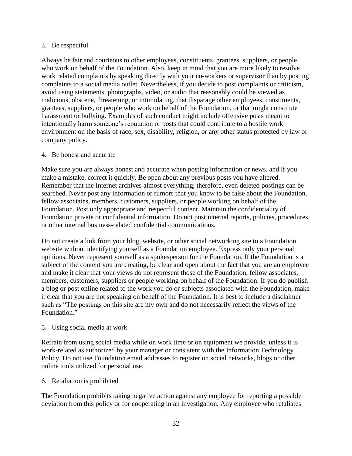### 3. Be respectful

Always be fair and courteous to other employees, constituents, grantees, suppliers, or people who work on behalf of the Foundation. Also, keep in mind that you are more likely to resolve work related complaints by speaking directly with your co-workers or supervisor than by posting complaints to a social media outlet. Nevertheless, if you decide to post complaints or criticism, avoid using statements, photographs, video, or audio that reasonably could be viewed as malicious, obscene, threatening, or intimidating, that disparage other employees, constituents, grantees, suppliers, or people who work on behalf of the Foundation, or that might constitute harassment or bullying. Examples of such conduct might include offensive posts meant to intentionally harm someone's reputation or posts that could contribute to a hostile work environment on the basis of race, sex, disability, religion, or any other status protected by law or company policy.

### 4. Be honest and accurate

Make sure you are always honest and accurate when posting information or news, and if you make a mistake, correct it quickly. Be open about any previous posts you have altered. Remember that the Internet archives almost everything; therefore, even deleted postings can be searched. Never post any information or rumors that you know to be false about the Foundation, fellow associates, members, customers, suppliers, or people working on behalf of the Foundation. Post only appropriate and respectful content. Maintain the confidentiality of Foundation private or confidential information. Do not post internal reports, policies, procedures, or other internal business-related confidential communications.

Do not create a link from your blog, website, or other social networking site to a Foundation website without identifying yourself as a Foundation employee. Express only your personal opinions. Never represent yourself as a spokesperson for the Foundation. If the Foundation is a subject of the content you are creating, be clear and open about the fact that you are an employee and make it clear that your views do not represent those of the Foundation, fellow associates, members, customers, suppliers or people working on behalf of the Foundation. If you do publish a blog or post online related to the work you do or subjects associated with the Foundation, make it clear that you are not speaking on behalf of the Foundation. It is best to include a disclaimer such as "The postings on this site are my own and do not necessarily reflect the views of the Foundation<sup>"</sup>

# 5. Using social media at work

Refrain from using social media while on work time or on equipment we provide, unless it is work-related as authorized by your manager or consistent with the Information Technology Policy. Do not use Foundation email addresses to register on social networks, blogs or other online tools utilized for personal use.

# 6. Retaliation is prohibited

The Foundation prohibits taking negative action against any employee for reporting a possible deviation from this policy or for cooperating in an investigation. Any employee who retaliates